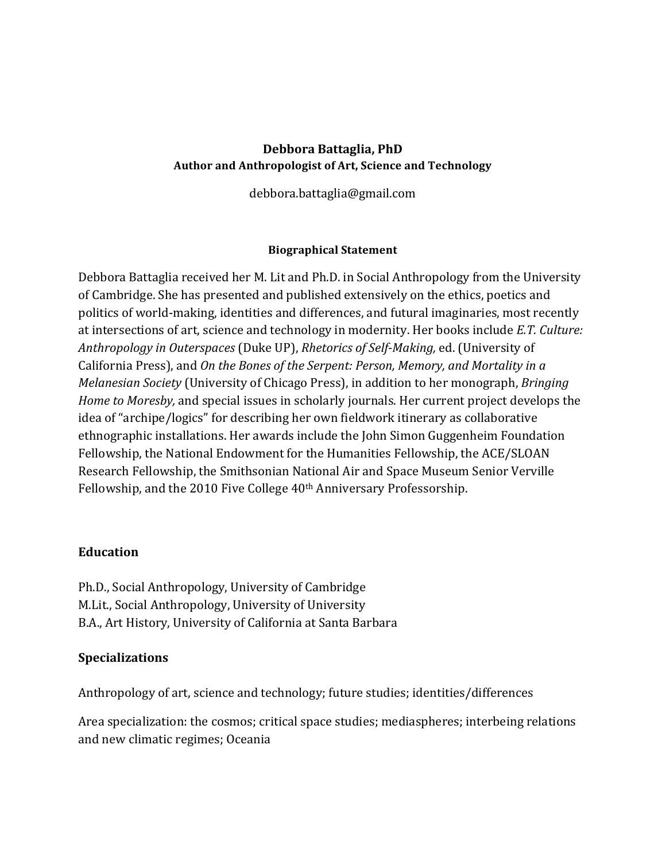## **Debbora Battaglia, PhD** Author and Anthropologist of Art, Science and Technology

debbora.battaglia@gmail.com

#### **Biographical Statement**

Debbora Battaglia received her M. Lit and Ph.D. in Social Anthropology from the University of Cambridge. She has presented and published extensively on the ethics, poetics and politics of world-making, identities and differences, and futural imaginaries, most recently at intersections of art, science and technology in modernity. Her books include *E.T. Culture: Anthropology in Outerspaces* (Duke UP), *Rhetorics of Self-Making*, ed. (University of California Press), and *On the Bones of the Serpent: Person, Memory, and Mortality in a Melanesian Society* (University of Chicago Press), in addition to her monograph, *Bringing Home to Moresby,* and special issues in scholarly journals. Her current project develops the idea of "archipe/logics" for describing her own fieldwork itinerary as collaborative ethnographic installations. Her awards include the John Simon Guggenheim Foundation Fellowship, the National Endowment for the Humanities Fellowship, the ACE/SLOAN Research Fellowship, the Smithsonian National Air and Space Museum Senior Verville Fellowship, and the 2010 Five College 40<sup>th</sup> Anniversary Professorship.

### **Education**

Ph.D., Social Anthropology, University of Cambridge M.Lit., Social Anthropology, University of University B.A., Art History, University of California at Santa Barbara

### **Specializations**

Anthropology of art, science and technology; future studies; identities/differences

Area specialization: the cosmos; critical space studies; mediaspheres; interbeing relations and new climatic regimes; Oceania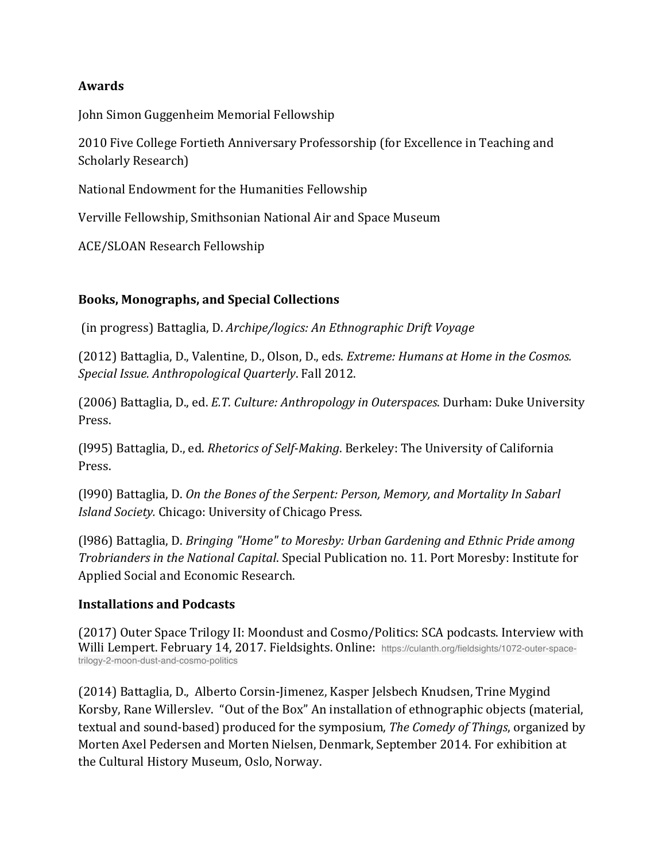### **Awards**

John Simon Guggenheim Memorial Fellowship

2010 Five College Fortieth Anniversary Professorship (for Excellence in Teaching and Scholarly Research)

National Endowment for the Humanities Fellowship

Verville Fellowship, Smithsonian National Air and Space Museum

ACE/SLOAN Research Fellowship

## **Books, Monographs, and Special Collections**

(in progress) Battaglia, D. *Archipe/logics: An Ethnographic Drift Voyage* 

(2012) Battaglia, D., Valentine, D., Olson, D., eds. *Extreme: Humans at Home in the Cosmos. Special Issue. Anthropological Quarterly.* Fall 2012.

(2006) Battaglia, D., ed. *E.T. Culture: Anthropology in Outerspaces*. Durham: Duke University Press.

(1995) Battaglia, D., ed. *Rhetorics of Self-Making*. Berkeley: The University of California Press.

(1990) Battaglia, D. On the Bones of the Serpent: Person, Memory, and Mortality In Sabarl *Island Society.* Chicago: University of Chicago Press.

(1986) Battaglia, D. *Bringing "Home" to Moresby: Urban Gardening and Ethnic Pride among Trobrianders in the National Capital.* Special Publication no. 11. Port Moresby: Institute for Applied Social and Economic Research.

### **Installations and Podcasts**

(2017) Outer Space Trilogy II: Moondust and Cosmo/Politics: SCA podcasts. Interview with Willi Lempert. February 14, 2017. Fieldsights. Online: https://culanth.org/fieldsights/1072-outer-spacetrilogy-2-moon-dust-and-cosmo-politics

(2014) Battaglia, D., Alberto Corsin-Jimenez, Kasper Jelsbech Knudsen, Trine Mygind Korsby, Rane Willerslev. "Out of the Box" An installation of ethnographic objects (material, textual and sound-based) produced for the symposium, *The Comedy of Things*, organized by Morten Axel Pedersen and Morten Nielsen, Denmark, September 2014. For exhibition at the Cultural History Museum, Oslo, Norway.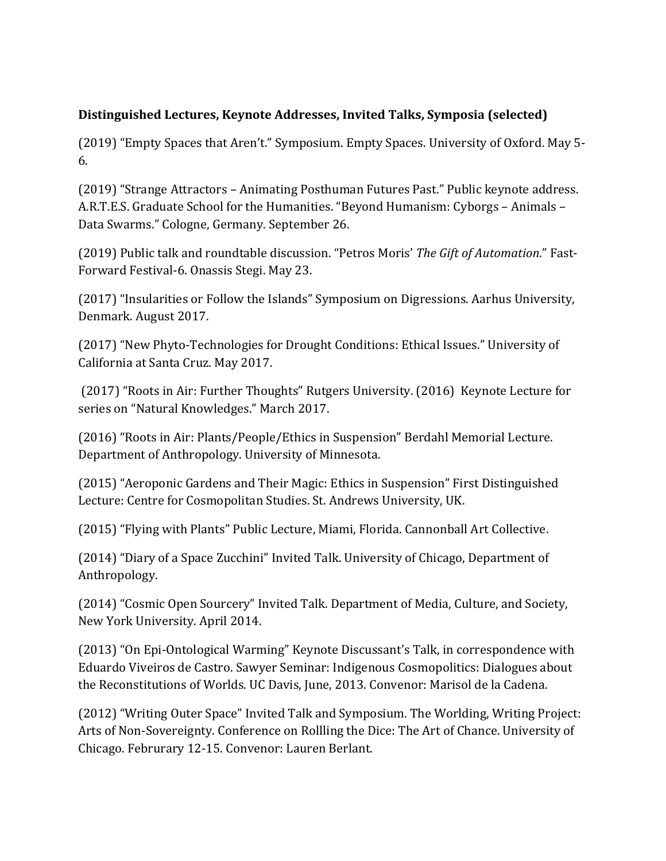## **Distinguished Lectures, Keynote Addresses, Invited Talks, Symposia (selected)**

(2019) "Empty Spaces that Aren't." Symposium. Empty Spaces. University of Oxford. May 5-6.

(2019) "Strange Attractors – Animating Posthuman Futures Past." Public keynote address. A.R.T.E.S. Graduate School for the Humanities. "Beyond Humanism: Cyborgs – Animals – Data Swarms." Cologne, Germany. September 26.

(2019) Public talk and roundtable discussion. "Petros Moris' *The Gift of Automation*." Fast-Forward Festival-6. Onassis Stegi. May 23.

(2017) "Insularities or Follow the Islands" Symposium on Digressions. Aarhus University, Denmark. August 2017.

(2017) "New Phyto-Technologies for Drought Conditions: Ethical Issues." University of California at Santa Cruz. May 2017.

(2017) "Roots in Air: Further Thoughts" Rutgers University. (2016) Keynote Lecture for series on "Natural Knowledges." March 2017.

(2016) "Roots in Air: Plants/People/Ethics in Suspension" Berdahl Memorial Lecture. Department of Anthropology. University of Minnesota.

(2015) "Aeroponic Gardens and Their Magic: Ethics in Suspension" First Distinguished Lecture: Centre for Cosmopolitan Studies. St. Andrews University, UK.

(2015) "Flying with Plants" Public Lecture, Miami, Florida. Cannonball Art Collective.

(2014) "Diary of a Space Zucchini" Invited Talk. University of Chicago, Department of Anthropology.

(2014) "Cosmic Open Sourcery" Invited Talk. Department of Media, Culture, and Society, New York University. April 2014.

(2013) "On Epi-Ontological Warming" Keynote Discussant's Talk, in correspondence with Eduardo Viveiros de Castro. Sawyer Seminar: Indigenous Cosmopolitics: Dialogues about the Reconstitutions of Worlds. UC Davis, June, 2013. Convenor: Marisol de la Cadena.

(2012) "Writing Outer Space" Invited Talk and Symposium. The Worlding, Writing Project: Arts of Non-Sovereignty. Conference on Rollling the Dice: The Art of Chance. University of Chicago. Februrary 12-15. Convenor: Lauren Berlant.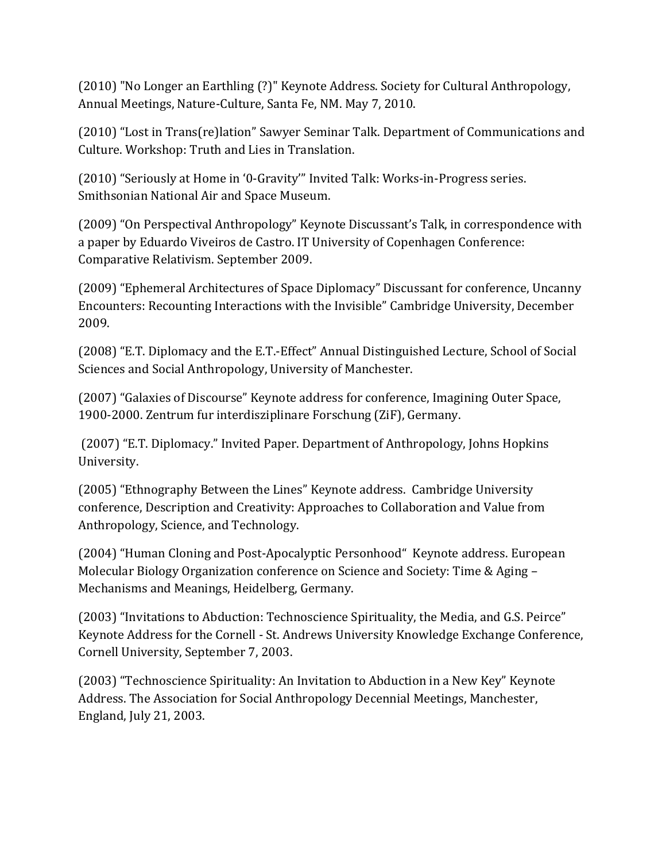(2010) "No Longer an Earthling (?)" Keynote Address. Society for Cultural Anthropology, Annual Meetings, Nature-Culture, Santa Fe, NM. May 7, 2010.

(2010) "Lost in Trans(re)lation" Sawyer Seminar Talk. Department of Communications and Culture. Workshop: Truth and Lies in Translation.

(2010) "Seriously at Home in '0-Gravity'" Invited Talk: Works-in-Progress series. Smithsonian National Air and Space Museum.

(2009) "On Perspectival Anthropology" Keynote Discussant's Talk, in correspondence with a paper by Eduardo Viveiros de Castro. IT University of Copenhagen Conference: Comparative Relativism. September 2009.

(2009) "Ephemeral Architectures of Space Diplomacy" Discussant for conference, Uncanny Encounters: Recounting Interactions with the Invisible" Cambridge University, December 2009.

(2008) "E.T. Diplomacy and the E.T.-Effect" Annual Distinguished Lecture, School of Social Sciences and Social Anthropology, University of Manchester.

(2007) "Galaxies of Discourse" Keynote address for conference, Imagining Outer Space, 1900-2000. Zentrum fur interdisziplinare Forschung (ZiF), Germany.

(2007) "E.T. Diplomacy." Invited Paper. Department of Anthropology, Johns Hopkins University. 

(2005) "Ethnography Between the Lines" Keynote address. Cambridge University conference, Description and Creativity: Approaches to Collaboration and Value from Anthropology, Science, and Technology.

(2004) "Human Cloning and Post-Apocalyptic Personhood" Keynote address. European Molecular Biology Organization conference on Science and Society: Time & Aging – Mechanisms and Meanings, Heidelberg, Germany.

(2003) "Invitations to Abduction: Technoscience Spirituality, the Media, and G.S. Peirce" Keynote Address for the Cornell - St. Andrews University Knowledge Exchange Conference, Cornell University, September 7, 2003.

(2003) "Technoscience Spirituality: An Invitation to Abduction in a New Key" Keynote Address. The Association for Social Anthropology Decennial Meetings, Manchester, England, July 21, 2003.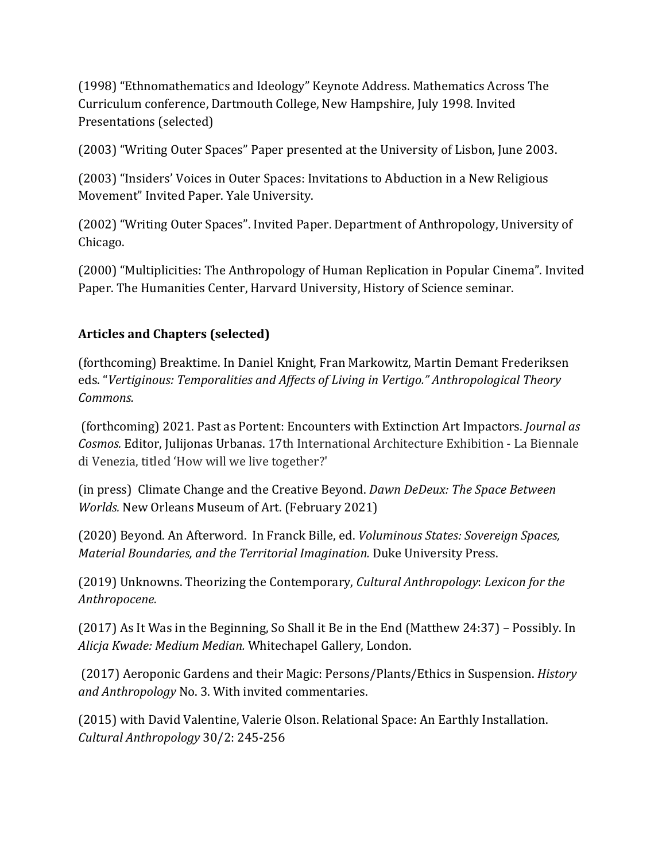(1998) "Ethnomathematics and Ideology" Keynote Address. Mathematics Across The Curriculum conference, Dartmouth College, New Hampshire, July 1998. Invited Presentations (selected)

(2003) "Writing Outer Spaces" Paper presented at the University of Lisbon, June 2003.

(2003) "Insiders' Voices in Outer Spaces: Invitations to Abduction in a New Religious Movement" Invited Paper. Yale University.

(2002) "Writing Outer Spaces". Invited Paper. Department of Anthropology, University of Chicago.

(2000) "Multiplicities: The Anthropology of Human Replication in Popular Cinema". Invited Paper. The Humanities Center, Harvard University, History of Science seminar.

# Articles and Chapters (selected)

(forthcoming) Breaktime. In Daniel Knight, Fran Markowitz, Martin Demant Frederiksen eds. "Vertiginous: Temporalities and Affects of Living in Vertigo." Anthropological Theory *Commons.*

(forthcoming) 2021. Past as Portent: Encounters with Extinction Art Impactors. *Journal as Cosmos.* Editor, Julijonas Urbanas. 17th International Architecture Exhibition - La Biennale di Venezia, titled 'How will we live together?'

(in press) Climate Change and the Creative Beyond. *Dawn DeDeux: The Space Between Worlds.* New Orleans Museum of Art. (February 2021)

(2020) Beyond. An Afterword. In Franck Bille, ed. *Voluminous States: Sovereign Spaces, Material Boundaries, and the Territorial Imagination.* Duke University Press.

(2019) Unknowns. Theorizing the Contemporary, *Cultural Anthropology: Lexicon for the Anthropocene.* 

(2017) As It Was in the Beginning, So Shall it Be in the End (Matthew 24:37) – Possibly. In *Alicja Kwade: Medium Median.* Whitechapel Gallery, London.

(2017) Aeroponic Gardens and their Magic: Persons/Plants/Ethics in Suspension. *History* and Anthropology No. 3. With invited commentaries.

(2015) with David Valentine, Valerie Olson. Relational Space: An Earthly Installation. *Cultural Anthropology* 30/2: 245-256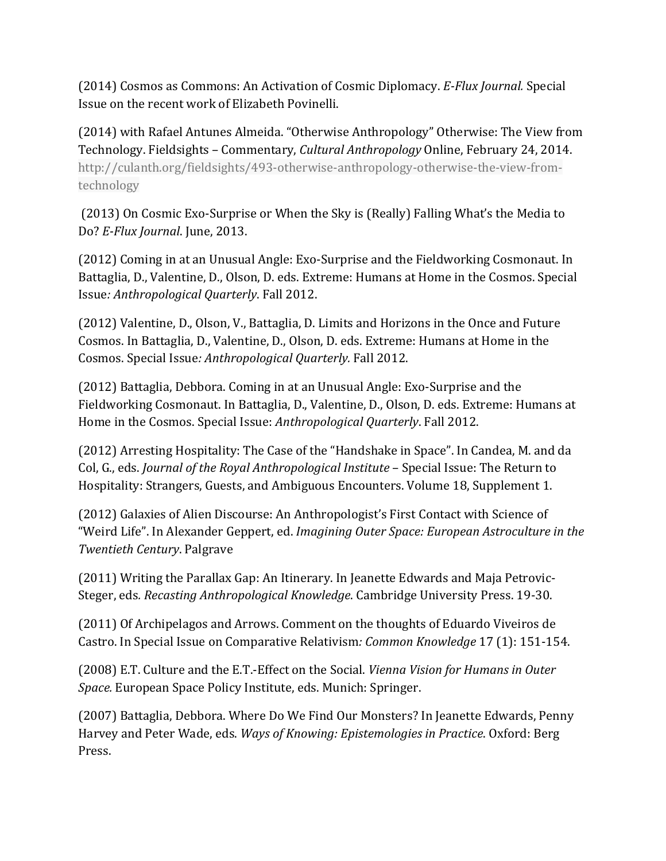(2014) Cosmos as Commons: An Activation of Cosmic Diplomacy. *E-Flux Journal.* Special Issue on the recent work of Elizabeth Povinelli.

(2014) with Rafael Antunes Almeida. "Otherwise Anthropology" Otherwise: The View from Technology. Fieldsights – Commentary, *Cultural Anthropology* Online, February 24, 2014. http://culanth.org/fieldsights/493-otherwise-anthropology-otherwise-the-view-fromtechnology

(2013) On Cosmic Exo-Surprise or When the Sky is (Really) Falling What's the Media to Do? *E-Flux Journal*. June, 2013.

(2012) Coming in at an Unusual Angle: Exo-Surprise and the Fieldworking Cosmonaut. In Battaglia, D., Valentine, D., Olson, D. eds. Extreme: Humans at Home in the Cosmos. Special Issue*: Anthropological Quarterly*. Fall 2012.

(2012) Valentine, D., Olson, V., Battaglia, D. Limits and Horizons in the Once and Future Cosmos. In Battaglia, D., Valentine, D., Olson, D. eds. Extreme: Humans at Home in the Cosmos. Special Issue: Anthropological Quarterly. Fall 2012.

(2012) Battaglia, Debbora. Coming in at an Unusual Angle: Exo-Surprise and the Fieldworking Cosmonaut. In Battaglia, D., Valentine, D., Olson, D. eds. Extreme: Humans at Home in the Cosmos. Special Issue: *Anthropological Quarterly*. Fall 2012.

(2012) Arresting Hospitality: The Case of the "Handshake in Space". In Candea, M. and da Col, G., eds. *Journal of the Royal Anthropological Institute* – Special Issue: The Return to Hospitality: Strangers, Guests, and Ambiguous Encounters. Volume 18, Supplement 1.

(2012) Galaxies of Alien Discourse: An Anthropologist's First Contact with Science of "Weird Life". In Alexander Geppert, ed. *Imagining Outer Space: European Astroculture in the Twentieth Century*. Palgrave

(2011) Writing the Parallax Gap: An Itinerary. In Jeanette Edwards and Maja Petrovic-Steger, eds. Recasting Anthropological Knowledge. Cambridge University Press. 19-30.

(2011) Of Archipelagos and Arrows. Comment on the thoughts of Eduardo Viveiros de Castro. In Special Issue on Comparative Relativism: Common Knowledge 17 (1): 151-154.

(2008) E.T. Culture and the E.T.-Effect on the Social. *Vienna Vision for Humans in Outer* Space. European Space Policy Institute, eds. Munich: Springer.

(2007) Battaglia, Debbora. Where Do We Find Our Monsters? In Jeanette Edwards, Penny Harvey and Peter Wade, eds. *Ways of Knowing: Epistemologies in Practice*. Oxford: Berg Press.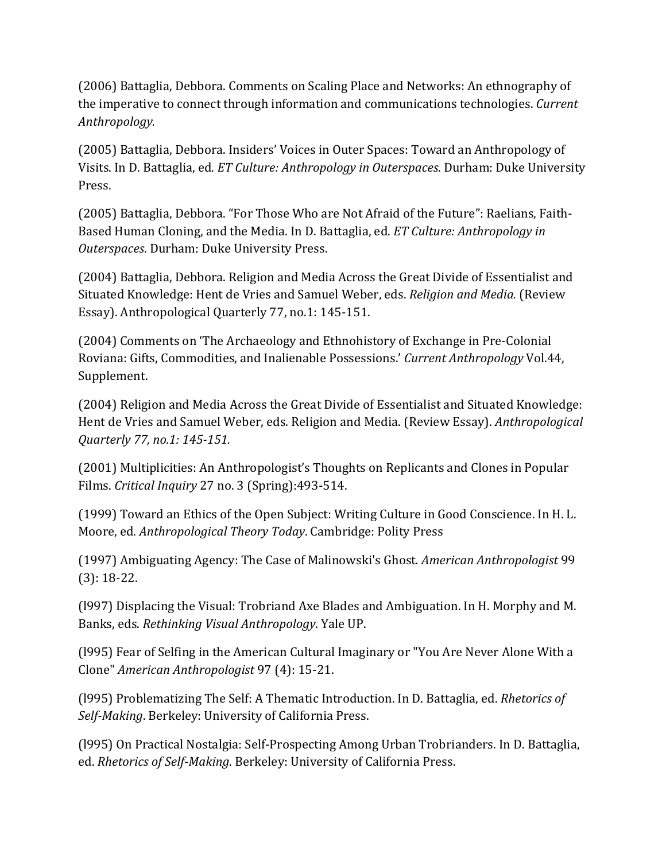(2006) Battaglia, Debbora. Comments on Scaling Place and Networks: An ethnography of the imperative to connect through information and communications technologies. *Current Anthropology.*

(2005) Battaglia, Debbora. Insiders' Voices in Outer Spaces: Toward an Anthropology of Visits. In D. Battaglia, ed. *ET Culture: Anthropology in Outerspaces*. Durham: Duke University Press.

(2005) Battaglia, Debbora. "For Those Who are Not Afraid of the Future": Raelians, Faith-Based Human Cloning, and the Media. In D. Battaglia, ed. *ET Culture: Anthropology in Outerspaces*. Durham: Duke University Press.

(2004) Battaglia, Debbora. Religion and Media Across the Great Divide of Essentialist and Situated Knowledge: Hent de Vries and Samuel Weber, eds. *Religion and Media.* (Review Essay). Anthropological Quarterly 77, no.1: 145-151.

(2004) Comments on 'The Archaeology and Ethnohistory of Exchange in Pre-Colonial Roviana: Gifts, Commodities, and Inalienable Possessions.' Current Anthropology Vol.44, Supplement.

(2004) Religion and Media Across the Great Divide of Essentialist and Situated Knowledge: Hent de Vries and Samuel Weber, eds. Religion and Media. (Review Essay). *Anthropological Quarterly 77, no.1: 145-151.*

(2001) Multiplicities: An Anthropologist's Thoughts on Replicants and Clones in Popular Films. *Critical Inquiry* 27 no. 3 (Spring):493-514.

(1999) Toward an Ethics of the Open Subject: Writing Culture in Good Conscience. In H. L. Moore, ed. *Anthropological Theory Today*. Cambridge: Polity Press

(1997) Ambiguating Agency: The Case of Malinowski's Ghost*. American Anthropologist* 99  $(3): 18-22.$ 

(1997) Displacing the Visual: Trobriand Axe Blades and Ambiguation. In H. Morphy and M. Banks, eds. *Rethinking Visual Anthropology*. Yale UP.

(1995) Fear of Selfing in the American Cultural Imaginary or "You Are Never Alone With a Clone" *American Anthropologist* 97 (4): 15-21.

(1995) Problematizing The Self: A Thematic Introduction. In D. Battaglia, ed. *Rhetorics of* Self-Making. Berkeley: University of California Press.

(1995) On Practical Nostalgia: Self-Prospecting Among Urban Trobrianders. In D. Battaglia, ed. *Rhetorics of Self-Making*. Berkeley: University of California Press.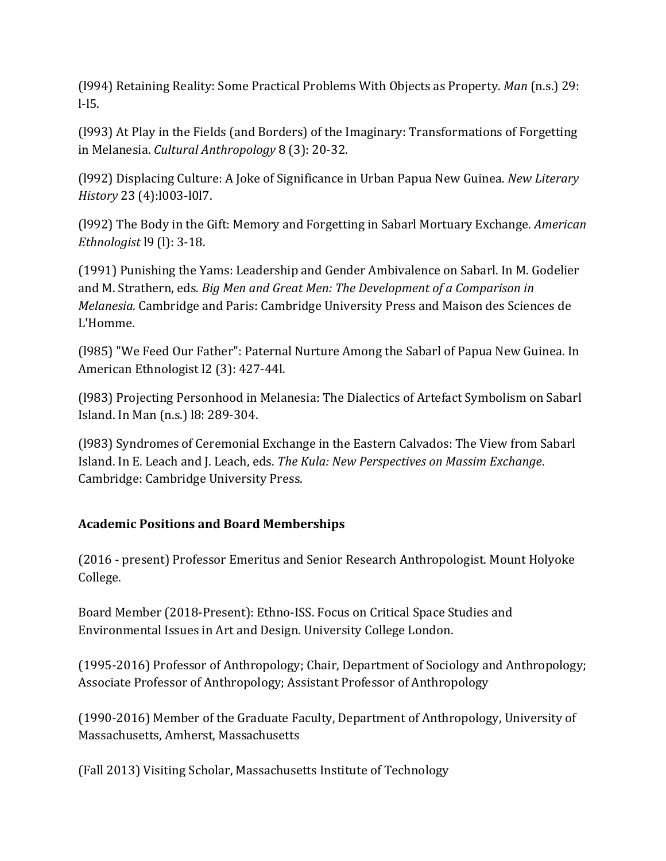(1994) Retaining Reality: Some Practical Problems With Objects as Property. *Man* (n.s.) 29: l-l5.

(1993) At Play in the Fields (and Borders) of the Imaginary: Transformations of Forgetting in Melanesia. *Cultural Anthropology* 8 (3): 20-32.

(1992) Displacing Culture: A Joke of Significance in Urban Papua New Guinea. *New Literary History* 23 (4):l003-l0l7.

(1992) The Body in the Gift: Memory and Forgetting in Sabarl Mortuary Exchange. *American Ethnologist* 19 (1): 3-18.

(1991) Punishing the Yams: Leadership and Gender Ambivalence on Sabarl. In M. Godelier and M. Strathern, eds. *Big Men and Great Men: The Development of a Comparison in Melanesia.* Cambridge and Paris: Cambridge University Press and Maison des Sciences de L'Homme.

(1985) "We Feed Our Father": Paternal Nurture Among the Sabarl of Papua New Guinea. In American Ethnologist 12 (3): 427-44l.

(1983) Projecting Personhood in Melanesia: The Dialectics of Artefact Symbolism on Sabarl Island. In Man (n.s.) 18: 289-304.

(1983) Syndromes of Ceremonial Exchange in the Eastern Calvados: The View from Sabarl Island. In E. Leach and J. Leach, eds. *The Kula: New Perspectives on Massim Exchange*. Cambridge: Cambridge University Press.

# **Academic Positions and Board Memberships**

(2016 - present) Professor Emeritus and Senior Research Anthropologist. Mount Holyoke College.

Board Member (2018-Present): Ethno-ISS. Focus on Critical Space Studies and Environmental Issues in Art and Design. University College London.

(1995-2016) Professor of Anthropology; Chair, Department of Sociology and Anthropology; Associate Professor of Anthropology; Assistant Professor of Anthropology

(1990-2016) Member of the Graduate Faculty, Department of Anthropology, University of Massachusetts, Amherst, Massachusetts

(Fall 2013) Visiting Scholar, Massachusetts Institute of Technology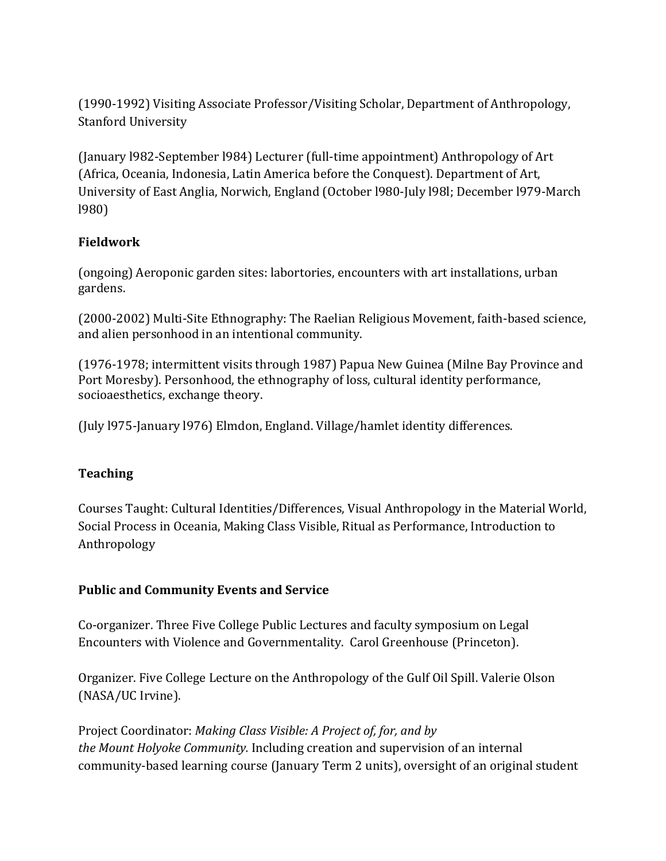(1990-1992) Visiting Associate Professor/Visiting Scholar, Department of Anthropology, Stanford University

(January 1982-September 1984) Lecturer (full-time appointment) Anthropology of Art (Africa, Oceania, Indonesia, Latin America before the Conquest). Department of Art, University of East Anglia, Norwich, England (October 1980-July 1981; December 1979-March l980)

# **Fieldwork**

(ongoing) Aeroponic garden sites: labortories, encounters with art installations, urban gardens.

(2000-2002) Multi-Site Ethnography: The Raelian Religious Movement, faith-based science, and alien personhood in an intentional community.

 $(1976-1978;$  intermittent visits through 1987) Papua New Guinea (Milne Bay Province and Port Moresby). Personhood, the ethnography of loss, cultural identity performance, socioaesthetics, exchange theory.

(July l975-January l976) Elmdon, England. Village/hamlet identity differences.

# **Teaching**

Courses Taught: Cultural Identities/Differences, Visual Anthropology in the Material World, Social Process in Oceania, Making Class Visible, Ritual as Performance, Introduction to Anthropology

## **Public and Community Events and Service**

Co-organizer. Three Five College Public Lectures and faculty symposium on Legal Encounters with Violence and Governmentality. Carol Greenhouse (Princeton).

Organizer. Five College Lecture on the Anthropology of the Gulf Oil Spill. Valerie Olson (NASA/UC Irvine).

Project Coordinator: *Making Class Visible: A Project of, for, and by the Mount Holyoke Community.* Including creation and supervision of an internal community-based learning course (January Term 2 units), oversight of an original student